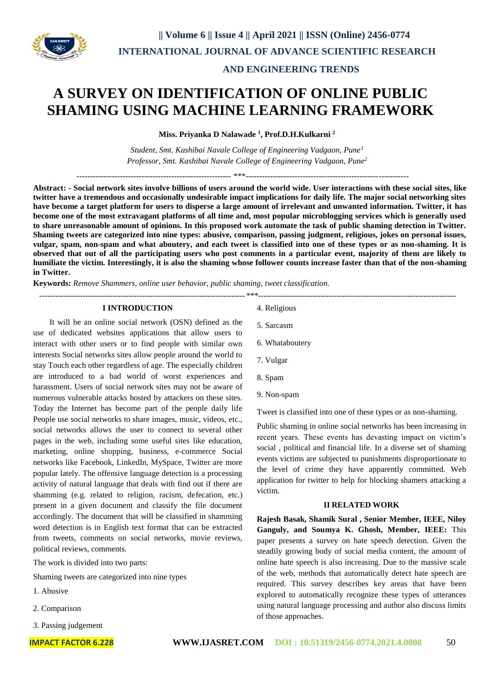

 **AND ENGINEERING TRENDS** 

# **A SURVEY ON IDENTIFICATION OF ONLINE PUBLIC SHAMING USING MACHINE LEARNING FRAMEWORK**

**Miss. Priyanka D Nalawade <sup>1</sup> , Prof.D.H.Kulkarni <sup>2</sup>**

*Student, Smt. Kashibai Navale College of Engineering Vadgaon, Pune<sup>1</sup> Professor, Smt. Kashibai Navale College of Engineering Vadgaon, Pune<sup>2</sup>*

--------------------------------------------------------- \*\*\*------------------------------------------------------------

**Abstract: - Social network sites involve billions of users around the world wide. User interactions with these social sites, like twitter have a tremendous and occasionally undesirable impact implications for daily life. The major social networking sites have become a target platform for users to disperse a large amount of irrelevant and unwanted information. Twitter, it has become one of the most extravagant platforms of all time and, most popular microblogging services which is generally used to share unreasonable amount of opinions. In this proposed work automate the task of public shaming detection in Twitter. Shaming tweets are categorized into nine types: abusive, comparison, passing judgment, religious, jokes on personal issues, vulgar, spam, non-spam and what aboutery, and each tweet is classified into one of these types or as non-shaming. It is observed that out of all the participating users who post comments in a particular event, majority of them are likely to humiliate the victim. Interestingly, it is also the shaming whose follower counts increase faster than that of the non-shaming in Twitter.**

**Keywords:** *Remove Shammers, online user behavior, public shaming, tweet classification.*

*----------------------------------------------------------------------------\*\*\*-------------------------------------------------------------------------*

### **I INTRODUCTION**

 It will be an online social network (OSN) defined as the use of dedicated websites applications that allow users to interact with other users or to find people with similar own interests Social networks sites allow people around the world to stay Touch each other regardless of age. The especially children are introduced to a bad world of worst experiences and harassment. Users of social network sites may not be aware of numerous vulnerable attacks hosted by attackers on these sites. Today the Internet has become part of the people daily life People use social networks to share images, music, videos, etc., social networks allows the user to connect to several other pages in the web, including some useful sites like education, marketing, online shopping, business, e-commerce Social networks like Facebook, LinkedIn, MySpace, Twitter are more popular lately. The offensive language detection is a processing activity of natural language that deals with find out if there are shamming (e.g. related to religion, racism, defecation, etc.) present in a given document and classify the file document accordingly. The document that will be classified in shamming word detection is in English text format that can be extracted from tweets, comments on social networks, movie reviews, political reviews, comments.

The work is divided into two parts:

Shaming tweets are categorized into nine types

- 1. Abusive
- 2. Comparison
- 3. Passing judgement
- 4. Religious
- 5. Sarcasm
- 6. Whataboutery
- 7. Vulgar
- 8. Spam
- 9. Non-spam

Tweet is classified into one of these types or as non-shaming.

Public shaming in online social networks has been increasing in recent years. These events has devasting impact on victim's social , political and financial life. In a diverse set of shaming events victims are subjected to punishments disproportionate to the level of crime they have apparently committed. Web application for twitter to help for blocking shamers attacking a victim.

### **II RELATED WORK**

**Rajesh Basak, Shamik Sural , Senior Member, IEEE, Niloy Ganguly, and Soumya K. Ghosh, Member, IEEE:** This paper presents a survey on hate speech detection. Given the steadily growing body of social media content, the amount of online hate speech is also increasing. Due to the massive scale of the web, methods that automatically detect hate speech are required. This survey describes key areas that have been explored to automatically recognize these types of utterances using natural language processing and author also discuss limits of those approaches.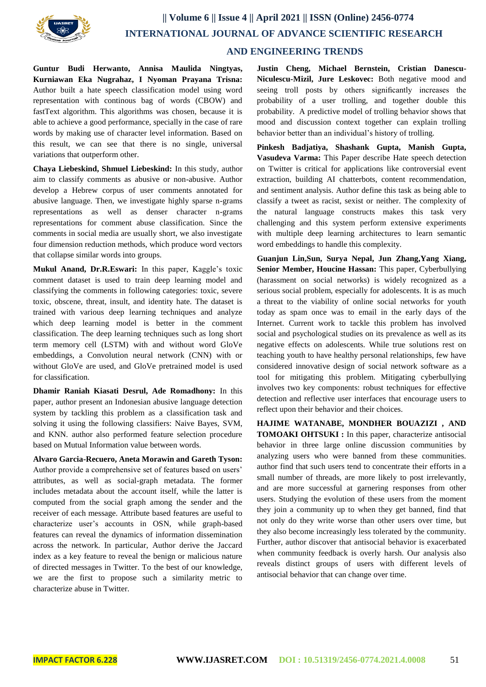

**Guntur Budi Herwanto, Annisa Maulida Ningtyas, Kurniawan Eka Nugrahaz, I Nyoman Prayana Trisna:** Author built a hate speech classification model using word representation with continous bag of words (CBOW) and fastText algorithm. This algorithms was chosen, because it is able to achieve a good performance, specially in the case of rare words by making use of character level information. Based on this result, we can see that there is no single, universal variations that outperform other.

**Chaya Liebeskind, Shmuel Liebeskind:** In this study, author aim to classify comments as abusive or non-abusive. Author develop a Hebrew corpus of user comments annotated for abusive language. Then, we investigate highly sparse n-grams representations as well as denser character n-grams representations for comment abuse classification. Since the comments in social media are usually short, we also investigate four dimension reduction methods, which produce word vectors that collapse similar words into groups.

**Mukul Anand, Dr.R.Eswari:** In this paper, Kaggle's toxic comment dataset is used to train deep learning model and classifying the comments in following categories: toxic, severe toxic, obscene, threat, insult, and identity hate. The dataset is trained with various deep learning techniques and analyze which deep learning model is better in the comment classification. The deep learning techniques such as long short term memory cell (LSTM) with and without word GloVe embeddings, a Convolution neural network (CNN) with or without GloVe are used, and GloVe pretrained model is used for classification.

**Dhamir Raniah Kiasati Desrul, Ade Romadhony:** In this paper, author present an Indonesian abusive language detection system by tackling this problem as a classification task and solving it using the following classifiers: Naive Bayes, SVM, and KNN. author also performed feature selection procedure based on Mutual Information value between words.

**Alvaro Garcia-Recuero, Aneta Morawin and Gareth Tyson:**  Author provide a comprehensive set of features based on users' attributes, as well as social-graph metadata. The former includes metadata about the account itself, while the latter is computed from the social graph among the sender and the receiver of each message. Attribute based features are useful to characterize user's accounts in OSN, while graph-based features can reveal the dynamics of information dissemination across the network. In particular, Author derive the Jaccard index as a key feature to reveal the benign or malicious nature of directed messages in Twitter. To the best of our knowledge, we are the first to propose such a similarity metric to characterize abuse in Twitter.

**Justin Cheng, Michael Bernstein, Cristian Danescu-Niculescu-Mizil, Jure Leskovec:** Both negative mood and seeing troll posts by others significantly increases the probability of a user trolling, and together double this probability. A predictive model of trolling behavior shows that mood and discussion context together can explain trolling behavior better than an individual's history of trolling.

**Pinkesh Badjatiya, Shashank Gupta, Manish Gupta, Vasudeva Varma:** This Paper describe Hate speech detection on Twitter is critical for applications like controversial event extraction, building AI chatterbots, content recommendation, and sentiment analysis. Author define this task as being able to classify a tweet as racist, sexist or neither. The complexity of the natural language constructs makes this task very challenging and this system perform extensive experiments with multiple deep learning architectures to learn semantic word embeddings to handle this complexity.

**Guanjun Lin,Sun, Surya Nepal, Jun Zhang,Yang Xiang, Senior Member, Houcine Hassan:** This paper, Cyberbullying (harassment on social networks) is widely recognized as a serious social problem, especially for adolescents. It is as much a threat to the viability of online social networks for youth today as spam once was to email in the early days of the Internet. Current work to tackle this problem has involved social and psychological studies on its prevalence as well as its negative effects on adolescents. While true solutions rest on teaching youth to have healthy personal relationships, few have considered innovative design of social network software as a tool for mitigating this problem. Mitigating cyberbullying involves two key components: robust techniques for effective detection and reflective user interfaces that encourage users to reflect upon their behavior and their choices.

**HAJIME WATANABE, MONDHER BOUAZIZI , AND TOMOAKI OHTSUKI :** In this paper, characterize antisocial behavior in three large online discussion communities by analyzing users who were banned from these communities. author find that such users tend to concentrate their efforts in a small number of threads, are more likely to post irrelevantly, and are more successful at garnering responses from other users. Studying the evolution of these users from the moment they join a community up to when they get banned, find that not only do they write worse than other users over time, but they also become increasingly less tolerated by the community. Further, author discover that antisocial behavior is exacerbated when community feedback is overly harsh. Our analysis also reveals distinct groups of users with different levels of antisocial behavior that can change over time.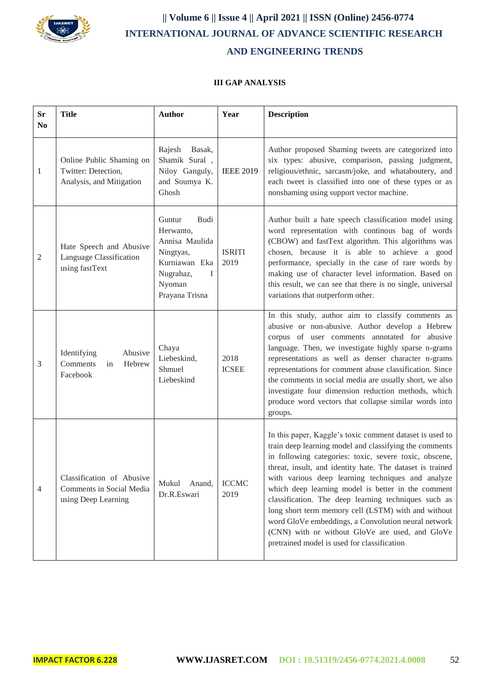

## **|| Volume 6 || Issue 4 || April 2021 || ISSN (Online) 2456-0774 INTERNATIONAL JOURNAL OF ADVANCE SCIENTIFIC RESEARCH AND ENGINEERING TRENDS**

## **III GAP ANALYSIS**

| <b>Sr</b><br>N <sub>0</sub> | <b>Title</b>                                                                 | <b>Author</b>                                                                                                             | Year                  | <b>Description</b>                                                                                                                                                                                                                                                                                                                                                                                                                                                                                                                                                                                                           |
|-----------------------------|------------------------------------------------------------------------------|---------------------------------------------------------------------------------------------------------------------------|-----------------------|------------------------------------------------------------------------------------------------------------------------------------------------------------------------------------------------------------------------------------------------------------------------------------------------------------------------------------------------------------------------------------------------------------------------------------------------------------------------------------------------------------------------------------------------------------------------------------------------------------------------------|
| $\mathbf{1}$                | Online Public Shaming on<br>Twitter: Detection,<br>Analysis, and Mitigation  | Rajesh<br>Basak,<br>Shamik Sural,<br>Niloy Ganguly,<br>and Soumya K.<br>Ghosh                                             | <b>IEEE 2019</b>      | Author proposed Shaming tweets are categorized into<br>six types: abusive, comparison, passing judgment,<br>religious/ethnic, sarcasm/joke, and whataboutery, and<br>each tweet is classified into one of these types or as<br>nonshaming using support vector machine.                                                                                                                                                                                                                                                                                                                                                      |
| $\mathfrak{2}$              | Hate Speech and Abusive<br>Language Classification<br>using fastText         | Guntur<br>Budi<br>Herwanto,<br>Annisa Maulida<br>Ningtyas,<br>Kurniawan Eka<br>Nugrahaz,<br>I<br>Nyoman<br>Prayana Trisna | <b>ISRITI</b><br>2019 | Author built a hate speech classification model using<br>word representation with continous bag of words<br>(CBOW) and fastText algorithm. This algorithms was<br>chosen, because it is able to achieve a good<br>performance, specially in the case of rare words by<br>making use of character level information. Based on<br>this result, we can see that there is no single, universal<br>variations that outperform other.                                                                                                                                                                                              |
| 3                           | Abusive<br>Identifying<br>Comments<br>Hebrew<br>in<br>Facebook               | Chaya<br>Liebeskind,<br>Shmuel<br>Liebeskind                                                                              | 2018<br><b>ICSEE</b>  | In this study, author aim to classify comments as<br>abusive or non-abusive. Author develop a Hebrew<br>corpus of user comments annotated for abusive<br>language. Then, we investigate highly sparse n-grams<br>representations as well as denser character n-grams<br>representations for comment abuse classification. Since<br>the comments in social media are usually short, we also<br>investigate four dimension reduction methods, which<br>produce word vectors that collapse similar words into<br>groups.                                                                                                        |
| 4                           | Classification of Abusive<br>Comments in Social Media<br>using Deep Learning | Anand,<br>Mukul<br>Dr.R.Eswari                                                                                            | <b>ICCMC</b><br>2019  | In this paper, Kaggle's toxic comment dataset is used to<br>train deep learning model and classifying the comments<br>in following categories: toxic, severe toxic, obscene,<br>threat, insult, and identity hate. The dataset is trained<br>with various deep learning techniques and analyze<br>which deep learning model is better in the comment<br>classification. The deep learning techniques such as<br>long short term memory cell (LSTM) with and without<br>word GloVe embeddings, a Convolution neural network<br>(CNN) with or without GloVe are used, and GloVe<br>pretrained model is used for classification |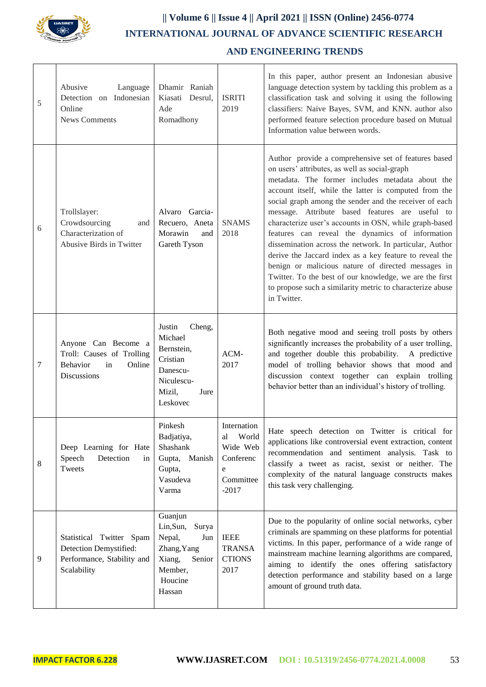

## **|| Volume 6 || Issue 4 || April 2021 || ISSN (Online) 2456-0774 INTERNATIONAL JOURNAL OF ADVANCE SCIENTIFIC RESEARCH AND ENGINEERING TRENDS**

| 5 | Abusive<br>Language<br>Detection on Indonesian<br>Online<br><b>News Comments</b>                          | Dhamir Raniah<br>Kiasati Desrul,<br>Ade<br>Romadhony                                                              | <b>ISRITI</b><br>2019                                                            | In this paper, author present an Indonesian abusive<br>language detection system by tackling this problem as a<br>classification task and solving it using the following<br>classifiers: Naive Bayes, SVM, and KNN. author also<br>performed feature selection procedure based on Mutual<br>Information value between words.                                                                                                                                                                                                                                                                                                                                                                                                                                    |
|---|-----------------------------------------------------------------------------------------------------------|-------------------------------------------------------------------------------------------------------------------|----------------------------------------------------------------------------------|-----------------------------------------------------------------------------------------------------------------------------------------------------------------------------------------------------------------------------------------------------------------------------------------------------------------------------------------------------------------------------------------------------------------------------------------------------------------------------------------------------------------------------------------------------------------------------------------------------------------------------------------------------------------------------------------------------------------------------------------------------------------|
| 6 | Trollslayer:<br>Crowdsourcing<br>and<br>Characterization of<br>Abusive Birds in Twitter                   | Alvaro Garcia-<br>Recuero, Aneta<br>Morawin<br>and<br>Gareth Tyson                                                | <b>SNAMS</b><br>2018                                                             | Author provide a comprehensive set of features based<br>on users' attributes, as well as social-graph<br>metadata. The former includes metadata about the<br>account itself, while the latter is computed from the<br>social graph among the sender and the receiver of each<br>message. Attribute based features are useful to<br>characterize user's accounts in OSN, while graph-based<br>features can reveal the dynamics of information<br>dissemination across the network. In particular, Author<br>derive the Jaccard index as a key feature to reveal the<br>benign or malicious nature of directed messages in<br>Twitter. To the best of our knowledge, we are the first<br>to propose such a similarity metric to characterize abuse<br>in Twitter. |
| 7 | Anyone Can Become a<br>Troll: Causes of Trolling<br><b>Behavior</b><br>in<br>Online<br><b>Discussions</b> | Justin<br>Cheng,<br>Michael<br>Bernstein,<br>Cristian<br>Danescu-<br>Niculescu-<br>Mizil,<br>Jure<br>Leskovec     | ACM-<br>2017                                                                     | Both negative mood and seeing troll posts by others<br>significantly increases the probability of a user trolling,<br>and together double this probability. A predictive<br>model of trolling behavior shows that mood and<br>discussion context together can explain trolling<br>behavior better than an individual's history of trolling.                                                                                                                                                                                                                                                                                                                                                                                                                     |
| 8 | Deep Learning for Hate<br>Speech<br>Detection<br>in<br>Tweets                                             | Pinkesh<br>Badjatiya,<br>Shashank<br>Gupta, Manish<br>Gupta,<br>Vasudeva<br>Varma                                 | Internation<br>World<br>al<br>Wide Web<br>Conferenc<br>e<br>Committee<br>$-2017$ | Hate speech detection on Twitter is critical for<br>applications like controversial event extraction, content<br>recommendation and sentiment analysis. Task to<br>classify a tweet as racist, sexist or neither. The<br>complexity of the natural language constructs makes<br>this task very challenging.                                                                                                                                                                                                                                                                                                                                                                                                                                                     |
| 9 | Statistical Twitter Spam<br>Detection Demystified:<br>Performance, Stability and<br>Scalability           | Guanjun<br>Lin, Sun,<br>Surya<br>Nepal,<br>Jun<br>Zhang, Yang<br>Xiang,<br>Senior<br>Member,<br>Houcine<br>Hassan | <b>IEEE</b><br><b>TRANSA</b><br><b>CTIONS</b><br>2017                            | Due to the popularity of online social networks, cyber<br>criminals are spamming on these platforms for potential<br>victims. In this paper, performance of a wide range of<br>mainstream machine learning algorithms are compared,<br>aiming to identify the ones offering satisfactory<br>detection performance and stability based on a large<br>amount of ground truth data.                                                                                                                                                                                                                                                                                                                                                                                |